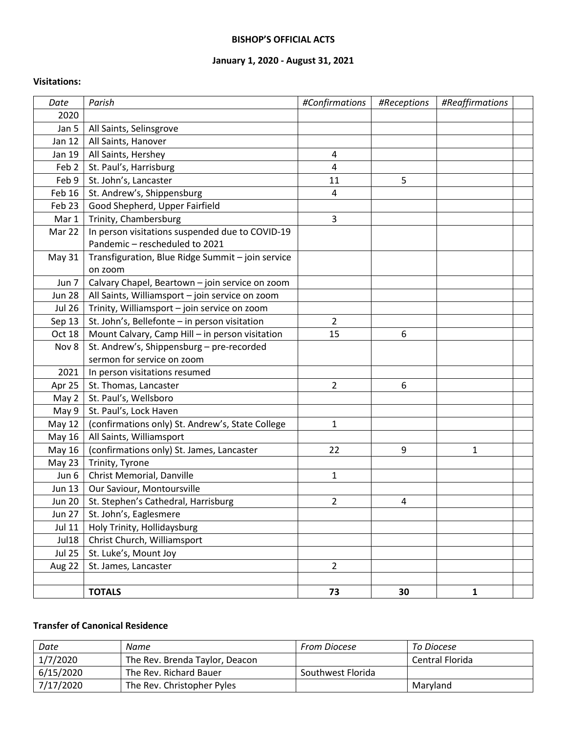#### **BISHOP'S OFFICIAL ACTS**

## **January 1, 2020 - August 31, 2021**

#### **Visitations:**

| Date             | Parish                                            | #Confirmations | #Receptions    | #Reaffirmations |  |
|------------------|---------------------------------------------------|----------------|----------------|-----------------|--|
| 2020             |                                                   |                |                |                 |  |
| Jan 5            | All Saints, Selinsgrove                           |                |                |                 |  |
| Jan 12           | All Saints, Hanover                               |                |                |                 |  |
| Jan 19           | All Saints, Hershey                               | 4              |                |                 |  |
| Feb <sub>2</sub> | St. Paul's, Harrisburg                            | 4              |                |                 |  |
| Feb 9            | St. John's, Lancaster                             | 11             | 5              |                 |  |
| Feb 16           | St. Andrew's, Shippensburg                        | 4              |                |                 |  |
| Feb 23           | Good Shepherd, Upper Fairfield                    |                |                |                 |  |
| Mar 1            | Trinity, Chambersburg                             | 3              |                |                 |  |
| Mar 22           | In person visitations suspended due to COVID-19   |                |                |                 |  |
|                  | Pandemic - rescheduled to 2021                    |                |                |                 |  |
| <b>May 31</b>    | Transfiguration, Blue Ridge Summit - join service |                |                |                 |  |
|                  | on zoom                                           |                |                |                 |  |
| Jun 7            | Calvary Chapel, Beartown - join service on zoom   |                |                |                 |  |
| <b>Jun 28</b>    | All Saints, Williamsport - join service on zoom   |                |                |                 |  |
| <b>Jul 26</b>    | Trinity, Williamsport - join service on zoom      |                |                |                 |  |
| Sep 13           | St. John's, Bellefonte - in person visitation     | $\overline{2}$ |                |                 |  |
| Oct 18           | Mount Calvary, Camp Hill - in person visitation   | 15             | 6              |                 |  |
| Nov 8            | St. Andrew's, Shippensburg - pre-recorded         |                |                |                 |  |
|                  | sermon for service on zoom                        |                |                |                 |  |
| 2021             | In person visitations resumed                     |                |                |                 |  |
| Apr 25           | St. Thomas, Lancaster                             | $\overline{2}$ | 6              |                 |  |
| May 2            | St. Paul's, Wellsboro                             |                |                |                 |  |
| May 9            | St. Paul's, Lock Haven                            |                |                |                 |  |
| <b>May 12</b>    | (confirmations only) St. Andrew's, State College  | 1              |                |                 |  |
| May 16           | All Saints, Williamsport                          |                |                |                 |  |
| May 16           | (confirmations only) St. James, Lancaster         | 22             | 9              | 1               |  |
| May 23           | Trinity, Tyrone                                   |                |                |                 |  |
| Jun 6            | Christ Memorial, Danville                         | $\mathbf{1}$   |                |                 |  |
| <b>Jun 13</b>    | Our Saviour, Montoursville                        |                |                |                 |  |
| <b>Jun 20</b>    | St. Stephen's Cathedral, Harrisburg               | $\overline{2}$ | $\overline{4}$ |                 |  |
| <b>Jun 27</b>    | St. John's, Eaglesmere                            |                |                |                 |  |
| <b>Jul 11</b>    | Holy Trinity, Hollidaysburg                       |                |                |                 |  |
| Jul18            | Christ Church, Williamsport                       |                |                |                 |  |
| <b>Jul 25</b>    | St. Luke's, Mount Joy                             |                |                |                 |  |
| Aug 22           | St. James, Lancaster                              | $\overline{2}$ |                |                 |  |
|                  |                                                   |                |                |                 |  |
|                  | <b>TOTALS</b>                                     | 73             | 30             | $\mathbf{1}$    |  |

### **Transfer of Canonical Residence**

| Date      | Name                           | From Diocese      | To Diocese      |
|-----------|--------------------------------|-------------------|-----------------|
| 1/7/2020  | The Rev. Brenda Taylor, Deacon |                   | Central Florida |
| 6/15/2020 | The Rev. Richard Bauer         | Southwest Florida |                 |
| 7/17/2020 | The Rev. Christopher Pyles     |                   | Marvland        |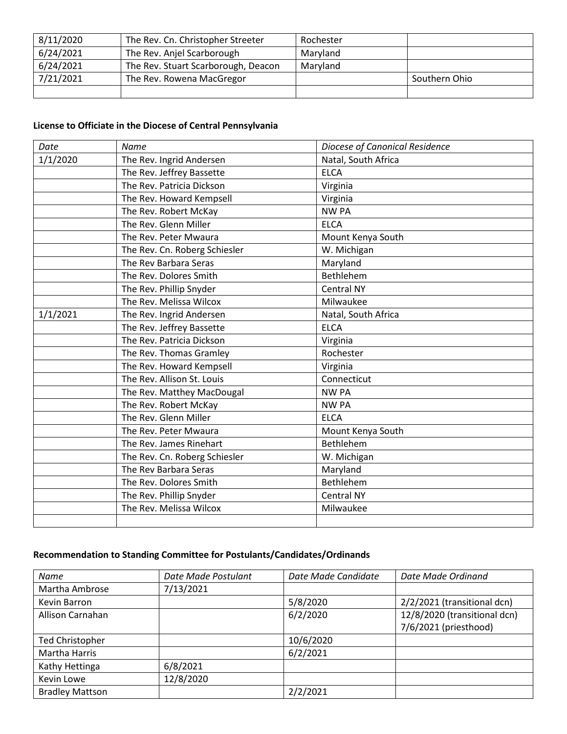| 8/11/2020 | The Rev. Cn. Christopher Streeter   | Rochester |               |
|-----------|-------------------------------------|-----------|---------------|
| 6/24/2021 | The Rev. Anjel Scarborough          | Maryland  |               |
| 6/24/2021 | The Rev. Stuart Scarborough, Deacon | Maryland  |               |
| 7/21/2021 | The Rev. Rowena MacGregor           |           | Southern Ohio |
|           |                                     |           |               |

# **License to Officiate in the Diocese of Central Pennsylvania**

| Date     | <b>Name</b>                   | Diocese of Canonical Residence |
|----------|-------------------------------|--------------------------------|
| 1/1/2020 | The Rev. Ingrid Andersen      | Natal, South Africa            |
|          | The Rev. Jeffrey Bassette     | <b>ELCA</b>                    |
|          | The Rev. Patricia Dickson     | Virginia                       |
|          | The Rev. Howard Kempsell      | Virginia                       |
|          | The Rev. Robert McKay         | <b>NW PA</b>                   |
|          | The Rev. Glenn Miller         | <b>ELCA</b>                    |
|          | The Rev. Peter Mwaura         | Mount Kenya South              |
|          | The Rev. Cn. Roberg Schiesler | W. Michigan                    |
|          | The Rev Barbara Seras         | Maryland                       |
|          | The Rev. Dolores Smith        | Bethlehem                      |
|          | The Rev. Phillip Snyder       | <b>Central NY</b>              |
|          | The Rev. Melissa Wilcox       | Milwaukee                      |
| 1/1/2021 | The Rev. Ingrid Andersen      | Natal, South Africa            |
|          | The Rev. Jeffrey Bassette     | <b>ELCA</b>                    |
|          | The Rev. Patricia Dickson     | Virginia                       |
|          | The Rev. Thomas Gramley       | Rochester                      |
|          | The Rev. Howard Kempsell      | Virginia                       |
|          | The Rev. Allison St. Louis    | Connecticut                    |
|          | The Rev. Matthey MacDougal    | <b>NW PA</b>                   |
|          | The Rev. Robert McKay         | <b>NW PA</b>                   |
|          | The Rev. Glenn Miller         | <b>ELCA</b>                    |
|          | The Rev. Peter Mwaura         | Mount Kenya South              |
|          | The Rev. James Rinehart       | Bethlehem                      |
|          | The Rev. Cn. Roberg Schiesler | W. Michigan                    |
|          | The Rev Barbara Seras         | Maryland                       |
|          | The Rev. Dolores Smith        | Bethlehem                      |
|          | The Rev. Phillip Snyder       | <b>Central NY</b>              |
|          | The Rev. Melissa Wilcox       | Milwaukee                      |
|          |                               |                                |

## **Recommendation to Standing Committee for Postulants/Candidates/Ordinands**

| Name                   | Date Made Postulant | Date Made Candidate | Date Made Ordinand           |
|------------------------|---------------------|---------------------|------------------------------|
| Martha Ambrose         | 7/13/2021           |                     |                              |
| Kevin Barron           |                     | 5/8/2020            | 2/2/2021 (transitional dcn)  |
| Allison Carnahan       |                     | 6/2/2020            | 12/8/2020 (transitional dcn) |
|                        |                     |                     | 7/6/2021 (priesthood)        |
| <b>Ted Christopher</b> |                     | 10/6/2020           |                              |
| Martha Harris          |                     | 6/2/2021            |                              |
| Kathy Hettinga         | 6/8/2021            |                     |                              |
| Kevin Lowe             | 12/8/2020           |                     |                              |
| <b>Bradley Mattson</b> |                     | 2/2/2021            |                              |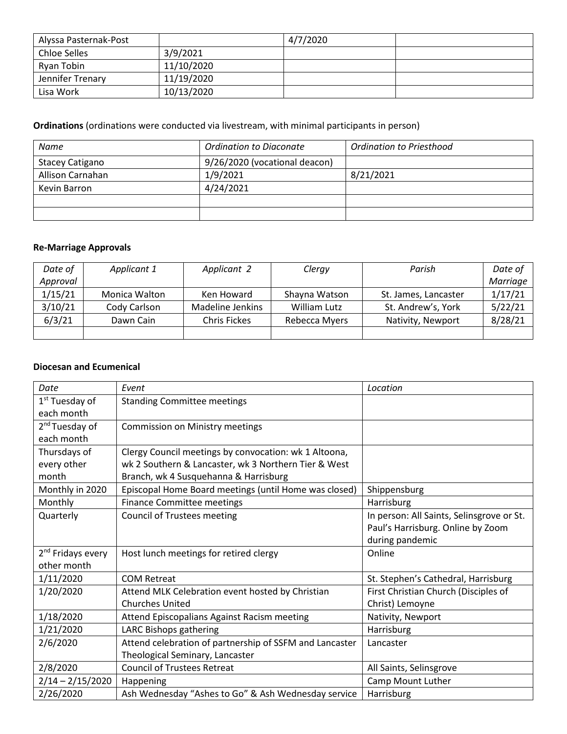| Alyssa Pasternak-Post |            | 4/7/2020 |  |
|-----------------------|------------|----------|--|
| <b>Chloe Selles</b>   | 3/9/2021   |          |  |
| Ryan Tobin            | 11/10/2020 |          |  |
| Jennifer Trenary      | 11/19/2020 |          |  |
| Lisa Work             | 10/13/2020 |          |  |

# **Ordinations** (ordinations were conducted via livestream, with minimal participants in person)

| Name                   | Ordination to Diaconate       | Ordination to Priesthood |
|------------------------|-------------------------------|--------------------------|
| <b>Stacey Catigano</b> | 9/26/2020 (vocational deacon) |                          |
| Allison Carnahan       | 1/9/2021                      | 8/21/2021                |
| Kevin Barron           | 4/24/2021                     |                          |
|                        |                               |                          |
|                        |                               |                          |

# **Re-Marriage Approvals**

| Date of  | Applicant 1   | Applicant 2         | Clergy        | Parish               | Date of  |
|----------|---------------|---------------------|---------------|----------------------|----------|
| Approval |               |                     |               |                      | Marriage |
| 1/15/21  | Monica Walton | Ken Howard          | Shayna Watson | St. James, Lancaster | 1/17/21  |
| 3/10/21  | Cody Carlson  | Madeline Jenkins    | William Lutz  | St. Andrew's, York   | 5/22/21  |
| 6/3/21   | Dawn Cain     | <b>Chris Fickes</b> | Rebecca Myers | Nativity, Newport    | 8/28/21  |
|          |               |                     |               |                      |          |

### **Diocesan and Ecumenical**

| Date                          | Event                                                   | Location                                  |
|-------------------------------|---------------------------------------------------------|-------------------------------------------|
| 1 <sup>st</sup> Tuesday of    | <b>Standing Committee meetings</b>                      |                                           |
| each month                    |                                                         |                                           |
| 2 <sup>nd</sup> Tuesday of    | Commission on Ministry meetings                         |                                           |
| each month                    |                                                         |                                           |
| Thursdays of                  | Clergy Council meetings by convocation: wk 1 Altoona,   |                                           |
| every other                   | wk 2 Southern & Lancaster, wk 3 Northern Tier & West    |                                           |
| month                         | Branch, wk 4 Susquehanna & Harrisburg                   |                                           |
| Monthly in 2020               | Episcopal Home Board meetings (until Home was closed)   | Shippensburg                              |
| Monthly                       | <b>Finance Committee meetings</b>                       | Harrisburg                                |
| Quarterly                     | <b>Council of Trustees meeting</b>                      | In person: All Saints, Selinsgrove or St. |
|                               |                                                         | Paul's Harrisburg. Online by Zoom         |
|                               |                                                         | during pandemic                           |
| 2 <sup>nd</sup> Fridays every | Host lunch meetings for retired clergy                  | Online                                    |
| other month                   |                                                         |                                           |
| 1/11/2020                     | <b>COM Retreat</b>                                      | St. Stephen's Cathedral, Harrisburg       |
| 1/20/2020                     | Attend MLK Celebration event hosted by Christian        | First Christian Church (Disciples of      |
|                               | <b>Churches United</b>                                  | Christ) Lemoyne                           |
| 1/18/2020                     | Attend Episcopalians Against Racism meeting             | Nativity, Newport                         |
| 1/21/2020                     | LARC Bishops gathering                                  | Harrisburg                                |
| 2/6/2020                      | Attend celebration of partnership of SSFM and Lancaster | Lancaster                                 |
|                               | Theological Seminary, Lancaster                         |                                           |
| 2/8/2020                      | <b>Council of Trustees Retreat</b>                      | All Saints, Selinsgrove                   |
| $2/14 - 2/15/2020$            | Happening                                               | Camp Mount Luther                         |
| 2/26/2020                     | Ash Wednesday "Ashes to Go" & Ash Wednesday service     | Harrisburg                                |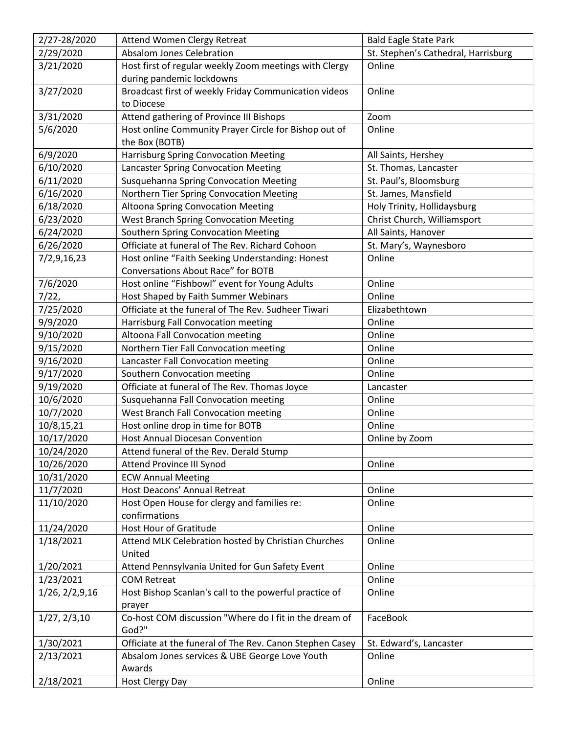| 2/27-28/2020     | Attend Women Clergy Retreat                                                            | <b>Bald Eagle State Park</b>        |
|------------------|----------------------------------------------------------------------------------------|-------------------------------------|
| 2/29/2020        | <b>Absalom Jones Celebration</b>                                                       | St. Stephen's Cathedral, Harrisburg |
| 3/21/2020        | Host first of regular weekly Zoom meetings with Clergy<br>during pandemic lockdowns    | Online                              |
| 3/27/2020        | Broadcast first of weekly Friday Communication videos<br>to Diocese                    | Online                              |
| 3/31/2020        | Attend gathering of Province III Bishops                                               | Zoom                                |
| 5/6/2020         | Host online Community Prayer Circle for Bishop out of                                  | Online                              |
|                  | the Box (BOTB)                                                                         |                                     |
| 6/9/2020         | <b>Harrisburg Spring Convocation Meeting</b>                                           | All Saints, Hershey                 |
| 6/10/2020        | <b>Lancaster Spring Convocation Meeting</b>                                            | St. Thomas, Lancaster               |
| 6/11/2020        | Susquehanna Spring Convocation Meeting                                                 | St. Paul's, Bloomsburg              |
| 6/16/2020        | Northern Tier Spring Convocation Meeting                                               | St. James, Mansfield                |
| 6/18/2020        | Altoona Spring Convocation Meeting                                                     | Holy Trinity, Hollidaysburg         |
| 6/23/2020        | <b>West Branch Spring Convocation Meeting</b>                                          | Christ Church, Williamsport         |
| 6/24/2020        | Southern Spring Convocation Meeting                                                    | All Saints, Hanover                 |
| 6/26/2020        | Officiate at funeral of The Rev. Richard Cohoon                                        | St. Mary's, Waynesboro              |
| 7/2,9,16,23      | Host online "Faith Seeking Understanding: Honest<br>Conversations About Race" for BOTB | Online                              |
| 7/6/2020         | Host online "Fishbowl" event for Young Adults                                          | Online                              |
| 7/22,            | Host Shaped by Faith Summer Webinars                                                   | Online                              |
|                  | Officiate at the funeral of The Rev. Sudheer Tiwari                                    |                                     |
| 7/25/2020        |                                                                                        | Elizabethtown                       |
| 9/9/2020         | Harrisburg Fall Convocation meeting                                                    | Online                              |
| 9/10/2020        | Altoona Fall Convocation meeting                                                       | Online                              |
| 9/15/2020        | Northern Tier Fall Convocation meeting                                                 | Online                              |
| 9/16/2020        | Lancaster Fall Convocation meeting                                                     | Online                              |
| 9/17/2020        | Southern Convocation meeting                                                           | Online                              |
| 9/19/2020        | Officiate at funeral of The Rev. Thomas Joyce                                          | Lancaster                           |
| 10/6/2020        | Susquehanna Fall Convocation meeting                                                   | Online                              |
| 10/7/2020        | West Branch Fall Convocation meeting                                                   | Online                              |
| 10/8,15,21       | Host online drop in time for BOTB                                                      | Online                              |
| 10/17/2020       | Host Annual Diocesan Convention                                                        | Online by Zoom                      |
| 10/24/2020       | Attend funeral of the Rev. Derald Stump                                                |                                     |
| 10/26/2020       | Attend Province III Synod                                                              | Online                              |
| 10/31/2020       | <b>ECW Annual Meeting</b>                                                              |                                     |
| 11/7/2020        | Host Deacons' Annual Retreat                                                           | Online                              |
| 11/10/2020       | Host Open House for clergy and families re:<br>confirmations                           | Online                              |
| 11/24/2020       | <b>Host Hour of Gratitude</b>                                                          | Online                              |
| 1/18/2021        | Attend MLK Celebration hosted by Christian Churches<br>United                          | Online                              |
| 1/20/2021        | Attend Pennsylvania United for Gun Safety Event                                        | Online                              |
| 1/23/2021        | <b>COM Retreat</b>                                                                     | Online                              |
| 1/26, 2/2, 9, 16 | Host Bishop Scanlan's call to the powerful practice of                                 | Online                              |
|                  | prayer                                                                                 |                                     |
| 1/27, 2/3, 10    | Co-host COM discussion "Where do I fit in the dream of<br>God?"                        | FaceBook                            |
| 1/30/2021        | Officiate at the funeral of The Rev. Canon Stephen Casey                               | St. Edward's, Lancaster             |
| 2/13/2021        | Absalom Jones services & UBE George Love Youth                                         | Online                              |
|                  | Awards                                                                                 |                                     |
| 2/18/2021        | Host Clergy Day                                                                        | Online                              |